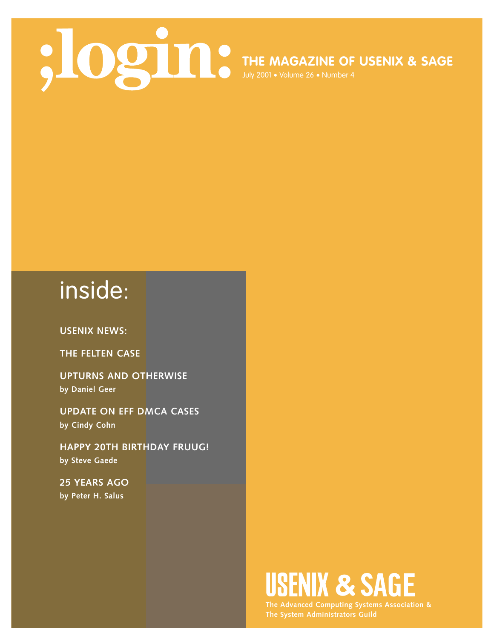**THE MAGAZINE OF USENIX & SAGE**

July 2001 • Volume 26 • Number 4

# inside:

**USENIX NEWS:**

**THE FELTEN CASE**

**UPTURNS AND OTHERWISE by Daniel Geer**

**UPDATE ON EFF DMCA CASES by Cindy Cohn**

**HAPPY 20TH BIRTHDAY FRUUG! by Steve Gaede**

**25 YEARS AGO by Peter H. Salus**

# USENIX & SAGE

**The Advanced Computing Systems Association &**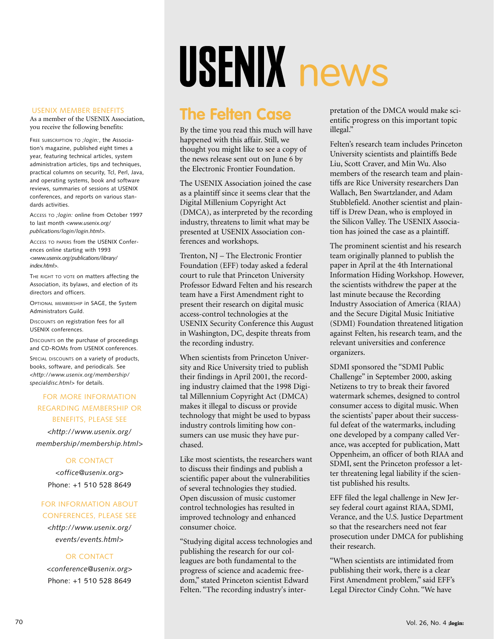#### USENIX MEMBER BENEFITS

As a member of the USENIX Association, you receive the following benefits:

FREE SUBSCRIPTION TO *;login:*, the Association's magazine, published eight times a year, featuring technical articles, system administration articles, tips and techniques, practical columns on security, Tcl, Perl, Java, and operating systems, book and software reviews, summaries of sessions at USENIX conferences, and reports on various standards activities.

ACCESS TO *;login:* online from October 1997 to last month *<www.usenix.org/ publications/login/login.html>.*

ACCESS TO PAPERS from the USENIX Conferences online starting with 1993 *<www.usenix.org/publications/library/ index.html>*.

THE RIGHT TO VOTE ON matters affecting the Association, its bylaws, and election of its directors and officers.

OPTIONAL MEMBERSHIP in SAGE, the System Administrators Guild.

DISCOUNTS on registration fees for all USENIX conferences.

DISCOUNTS on the purchase of proceedings and CD-ROMs from USENIX conferences.

SPECIAL DISCOUNTS on a variety of products, books, software, and periodicals. See *<http://www.usenix.org/membership/ specialdisc.html>* for details.

#### FOR MORE INFORMATION REGARDING MEMBERSHIP OR BENEFITS, PLEASE SEE

*<http://www.usenix.org/ membership/membership.html*>

#### OR CONTACT

*<office@usenix.org*> Phone: +1 510 528 8649

#### FOR INFORMATION ABOUT CONFERENCES, PLEASE SEE

*<http://www.usenix.org/ events/events.html*>

#### OR CONTACT

*<conference@usenix.org*> Phone: +1 510 528 8649

# USENIX news

### **The Felten Case**

By the time you read this much will have happened with this affair. Still, we thought you might like to see a copy of the news release sent out on June 6 by the Electronic Frontier Foundation.

The USENIX Association joined the case as a plaintiff since it seems clear that the Digital Millenium Copyright Act (DMCA), as interpreted by the recording industry, threatens to limit what may be presented at USENIX Association conferences and workshops.

Trenton, NJ – The Electronic Frontier Foundation (EFF) today asked a federal court to rule that Princeton University Professor Edward Felten and his research team have a First Amendment right to present their research on digital music access-control technologies at the USENIX Security Conference this August in Washington, DC, despite threats from the recording industry.

When scientists from Princeton University and Rice University tried to publish their findings in April 2001, the recording industry claimed that the 1998 Digital Millennium Copyright Act (DMCA) makes it illegal to discuss or provide technology that might be used to bypass industry controls limiting how consumers can use music they have purchased.

Like most scientists, the researchers want to discuss their findings and publish a scientific paper about the vulnerabilities of several technologies they studied. Open discussion of music customer control technologies has resulted in improved technology and enhanced consumer choice.

"Studying digital access technologies and publishing the research for our colleagues are both fundamental to the progress of science and academic freedom," stated Princeton scientist Edward Felten. "The recording industry's interpretation of the DMCA would make scientific progress on this important topic illegal."

Felten's research team includes Princeton University scientists and plaintiffs Bede Liu, Scott Craver, and Min Wu. Also members of the research team and plaintiffs are Rice University researchers Dan Wallach, Ben Swartzlander, and Adam Stubblefield. Another scientist and plaintiff is Drew Dean, who is employed in the Silicon Valley. The USENIX Association has joined the case as a plaintiff.

The prominent scientist and his research team originally planned to publish the paper in April at the 4th International Information Hiding Workshop. However, the scientists withdrew the paper at the last minute because the Recording Industry Association of America (RIAA) and the Secure Digital Music Initiative (SDMI) Foundation threatened litigation against Felten, his research team, and the relevant universities and conference organizers.

SDMI sponsored the "SDMI Public Challenge" in September 2000, asking Netizens to try to break their favored watermark schemes, designed to control consumer access to digital music. When the scientists' paper about their successful defeat of the watermarks, including one developed by a company called Verance, was accepted for publication, Matt Oppenheim, an officer of both RIAA and SDMI, sent the Princeton professor a letter threatening legal liability if the scientist published his results.

EFF filed the legal challenge in New Jersey federal court against RIAA, SDMI, Verance, and the U.S. Justice Department so that the researchers need not fear prosecution under DMCA for publishing their research.

"When scientists are intimidated from publishing their work, there is a clear First Amendment problem," said EFF's Legal Director Cindy Cohn. "We have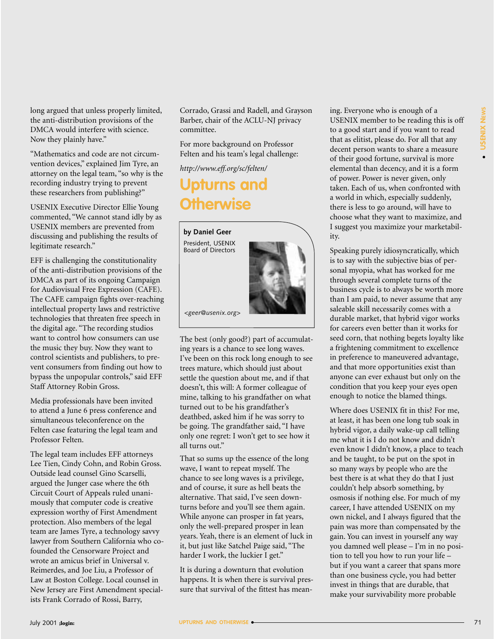long argued that unless properly limited, the anti-distribution provisions of the DMCA would interfere with science. Now they plainly have."

"Mathematics and code are not circumvention devices," explained Jim Tyre, an attorney on the legal team, "so why is the recording industry trying to prevent these researchers from publishing?"

USENIX Executive Director Ellie Young commented, "We cannot stand idly by as USENIX members are prevented from discussing and publishing the results of legitimate research."

EFF is challenging the constitutionality of the anti-distribution provisions of the DMCA as part of its ongoing Campaign for Audiovisual Free Expression (CAFE). The CAFE campaign fights over-reaching intellectual property laws and restrictive technologies that threaten free speech in the digital age. "The recording studios want to control how consumers can use the music they buy. Now they want to control scientists and publishers, to prevent consumers from finding out how to bypass the unpopular controls," said EFF Staff Attorney Robin Gross.

Media professionals have been invited to attend a June 6 press conference and simultaneous teleconference on the Felten case featuring the legal team and Professor Felten.

The legal team includes EFF attorneys Lee Tien, Cindy Cohn, and Robin Gross. Outside lead counsel Gino Scarselli, argued the Junger case where the 6th Circuit Court of Appeals ruled unanimously that computer code is creative expression worthy of First Amendment protection. Also members of the legal team are James Tyre, a technology savvy lawyer from Southern California who cofounded the Censorware Project and wrote an amicus brief in Universal v. Reimerdes, and Joe Liu, a Professor of Law at Boston College. Local counsel in New Jersey are First Amendment specialists Frank Corrado of Rossi, Barry,

Corrado, Grassi and Radell, and Grayson Barber, chair of the ACLU-NJ privacy committee.

For more background on Professor Felten and his team's legal challenge:

*<http://www.eff.org/sc/felten/>*

## **Upturns and Otherwise**

## **by Daniel Geer** President, USENIX Board of Directors

*<geer@usenix.org>*

The best (only good?) part of accumulating years is a chance to see long waves. I've been on this rock long enough to see trees mature, which should just about settle the question about me, and if that doesn't, this will: A former colleague of mine, talking to his grandfather on what turned out to be his grandfather's deathbed, asked him if he was sorry to be going. The grandfather said, "I have only one regret: I won't get to see how it all turns out."

That so sums up the essence of the long wave, I want to repeat myself. The chance to see long waves is a privilege, and of course, it sure as hell beats the alternative. That said, I've seen downturns before and you'll see them again. While anyone can prosper in fat years, only the well-prepared prosper in lean years. Yeah, there is an element of luck in it, but just like Satchel Paige said, "The harder I work, the luckier I get."

It is during a downturn that evolution happens. It is when there is survival pressure that survival of the fittest has meaning. Everyone who is enough of a USENIX member to be reading this is off to a good start and if you want to read that as elitist, please do. For all that any decent person wants to share a measure of their good fortune, survival is more elemental than decency, and it is a form of power. Power is never given, only taken. Each of us, when confronted with a world in which, especially suddenly, there is less to go around, will have to choose what they want to maximize, and I suggest you maximize your marketability.

Speaking purely idiosyncratically, which is to say with the subjective bias of personal myopia, what has worked for me through several complete turns of the business cycle is to always be worth more than I am paid, to never assume that any saleable skill necessarily comes with a durable market, that hybrid vigor works for careers even better than it works for seed corn, that nothing begets loyalty like a frightening commitment to excellence in preference to maneuvered advantage, and that more opportunities exist than anyone can ever exhaust but only on the condition that you keep your eyes open enough to notice the blamed things.

Where does USENIX fit in this? For me, at least, it has been one long tub soak in hybrid vigor, a daily wake-up call telling me what it is I do not know and didn't even know I didn't know, a place to teach and be taught, to be put on the spot in so many ways by people who are the best there is at what they do that I just couldn't help absorb something, by osmosis if nothing else. For much of my career, I have attended USENIX on my own nickel, and I always figured that the pain was more than compensated by the gain. You can invest in yourself any way you damned well please – I'm in no position to tell you how to run your life – but if you want a career that spans more than one business cycle, you had better invest in things that are durable, that make your survivability more probable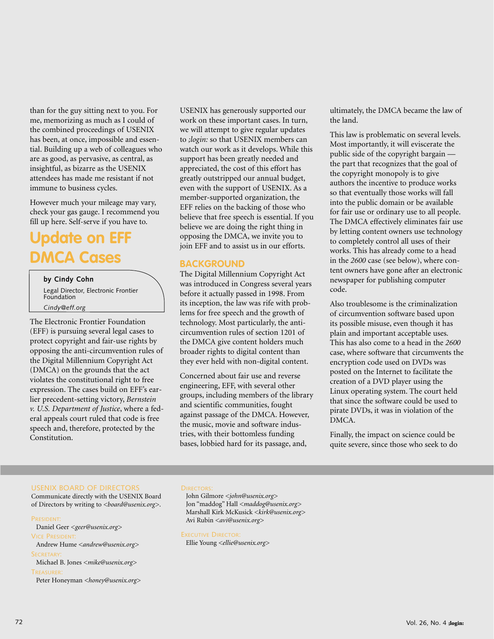than for the guy sitting next to you. For me, memorizing as much as I could of the combined proceedings of USENIX has been, at once, impossible and essential. Building up a web of colleagues who are as good, as pervasive, as central, as insightful, as bizarre as the USENIX attendees has made me resistant if not immune to business cycles.

However much your mileage may vary, check your gas gauge. I recommend you fill up here. Self-serve if you have to.

## **Update on EFF DMCA Cases**

#### **by Cindy Cohn**

Legal Director, Electronic Frontier Foundation *Cindy@eff.org*

The Electronic Frontier Foundation (EFF) is pursuing several legal cases to protect copyright and fair-use rights by opposing the anti-circumvention rules of the Digital Millennium Copyright Act (DMCA) on the grounds that the act violates the constitutional right to free expression. The cases build on EFF's earlier precedent-setting victory, *Bernstein v. U.S. Department of Justice*, where a federal appeals court ruled that code is free speech and, therefore, protected by the Constitution.

USENIX has generously supported our work on these important cases. In turn, we will attempt to give regular updates to *;login:* so that USENIX members can watch our work as it develops. While this support has been greatly needed and appreciated, the cost of this effort has greatly outstripped our annual budget, even with the support of USENIX. As a member-supported organization, the EFF relies on the backing of those who believe that free speech is essential. If you believe we are doing the right thing in opposing the DMCA, we invite you to join EFF and to assist us in our efforts.

#### **BACKGROUND**

The Digital Millennium Copyright Act was introduced in Congress several years before it actually passed in 1998. From its inception, the law was rife with problems for free speech and the growth of technology. Most particularly, the anticircumvention rules of section 1201 of the DMCA give content holders much broader rights to digital content than they ever held with non-digital content.

Concerned about fair use and reverse engineering, EFF, with several other groups, including members of the library and scientific communities, fought against passage of the DMCA. However, the music, movie and software industries, with their bottomless funding bases, lobbied hard for its passage, and,

ultimately, the DMCA became the law of the land.

This law is problematic on several levels. Most importantly, it will eviscerate the public side of the copyright bargain the part that recognizes that the goal of the copyright monopoly is to give authors the incentive to produce works so that eventually those works will fall into the public domain or be available for fair use or ordinary use to all people. The DMCA effectively eliminates fair use by letting content owners use technology to completely control all uses of their works. This has already come to a head in the *2600* case (see below), where content owners have gone after an electronic newspaper for publishing computer code.

Also troublesome is the criminalization of circumvention software based upon its possible misuse, even though it has plain and important acceptable uses. This has also come to a head in the *2600* case, where software that circumvents the encryption code used on DVDs was posted on the Internet to facilitate the creation of a DVD player using the Linux operating system. The court held that since the software could be used to pirate DVDs, it was in violation of the DMCA.

Finally, the impact on science could be quite severe, since those who seek to do

#### USENIX BOARD OF DIRECTORS

Communicate directly with the USENIX Board of Directors by writing to *<board@usenix.org>*.

#### PRESIDENT:

Daniel Geer *<geer@usenix.org>* VICE PRESIDENT: Andrew Hume *<andrew@usenix.org>* SECRETARY:

Michael B. Jones *<mike@usenix.org>* **TREASURER** 

Peter Honeyman *<honey@usenix.org>*

#### **DIRECTORS:**

John Gilmore *<john@usenix.org>* Jon "maddog" Hall *<maddog@usenix.org>* Marshall Kirk McKusick *<kirk@usenix.org>* Avi Rubin *<avi@usenix.org>*

EXECUTIVE DIRECTOR:

Ellie Young *<ellie@usenix.org>*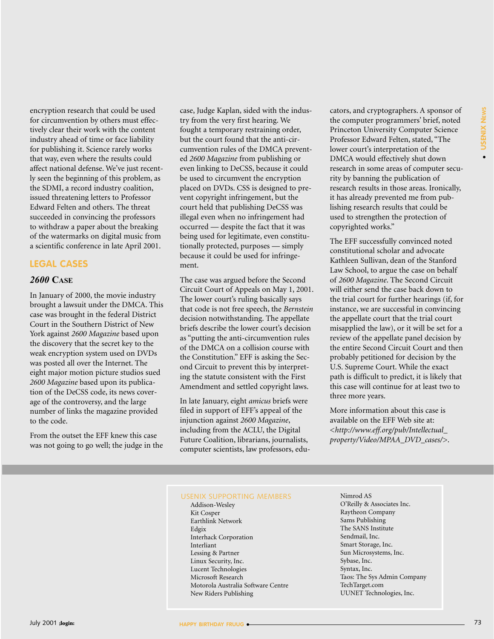encryption research that could be used for circumvention by others must effectively clear their work with the content industry ahead of time or face liability for publishing it. Science rarely works that way, even where the results could affect national defense. We've just recently seen the beginning of this problem, as the SDMI, a record industry coalition, issued threatening letters to Professor Edward Felten and others. The threat succeeded in convincing the professors to withdraw a paper about the breaking of the watermarks on digital music from a scientific conference in late April 2001.

#### **LEGAL CASES**

#### *2600* **CASE**

In January of 2000, the movie industry brought a lawsuit under the DMCA. This case was brought in the federal District Court in the Southern District of New York against *2600 Magazine* based upon the discovery that the secret key to the weak encryption system used on DVDs was posted all over the Internet. The eight major motion picture studios sued *2600 Magazine* based upon its publication of the DeCSS code, its news coverage of the controversy, and the large number of links the magazine provided to the code.

From the outset the EFF knew this case was not going to go well; the judge in the case, Judge Kaplan, sided with the industry from the very first hearing. We fought a temporary restraining order, but the court found that the anti-circumvention rules of the DMCA prevented *2600 Magazine* from publishing or even linking to DeCSS, because it could be used to circumvent the encryption placed on DVDs. CSS is designed to prevent copyright infringement, but the court held that publishing DeCSS was illegal even when no infringement had occurred — despite the fact that it was being used for legitimate, even constitutionally protected, purposes — simply because it could be used for infringement.

The case was argued before the Second Circuit Court of Appeals on May 1, 2001. The lower court's ruling basically says that code is not free speech, the *Bernstein* decision notwithstanding. The appellate briefs describe the lower court's decision as "putting the anti-circumvention rules of the DMCA on a collision course with the Constitution." EFF is asking the Second Circuit to prevent this by interpreting the statute consistent with the First Amendment and settled copyright laws.

In late January, eight *amicus* briefs were filed in support of EFF's appeal of the injunction against *2600 Magazine*, including from the ACLU, the Digital Future Coalition, librarians, journalists, computer scientists, law professors, educators, and cryptographers. A sponsor of the computer programmers' brief, noted Princeton University Computer Science Professor Edward Felten, stated, "The lower court's interpretation of the DMCA would effectively shut down research in some areas of computer security by banning the publication of research results in those areas. Ironically, it has already prevented me from publishing research results that could be used to strengthen the protection of copyrighted works."

The EFF successfully convinced noted constitutional scholar and advocate Kathleen Sullivan, dean of the Stanford Law School, to argue the case on behalf of *2600 Magazine*. The Second Circuit will either send the case back down to the trial court for further hearings (if, for instance, we are successful in convincing the appellate court that the trial court misapplied the law), or it will be set for a review of the appellate panel decision by the entire Second Circuit Court and then probably petitioned for decision by the U.S. Supreme Court. While the exact path is difficult to predict, it is likely that this case will continue for at least two to three more years.

More information about this case is available on the EFF Web site at: <*[http://www.eff.org/pub/Intellectual\\_](http://www.eff.org/pub/Intellectual_) property/Video/MPAA\_DVD\_cases/*>.

#### USENIX SUPPORTING MEMBERS

Addison-Wesley Kit Cosper Earthlink Network Edgix Interhack Corporation Interliant Lessing & Partner Linux Security, Inc. Lucent Technologies Microsoft Research Motorola Australia Software Centre New Riders Publishing

Nimrod AS O'Reilly & Associates Inc. Raytheon Company Sams Publishing The SANS Institute Sendmail, Inc. Smart Storage, Inc. Sun Microsystems, Inc. Sybase, Inc. Syntax, Inc. Taos: The Sys Admin Company TechTarget.com UUNET Technologies, Inc.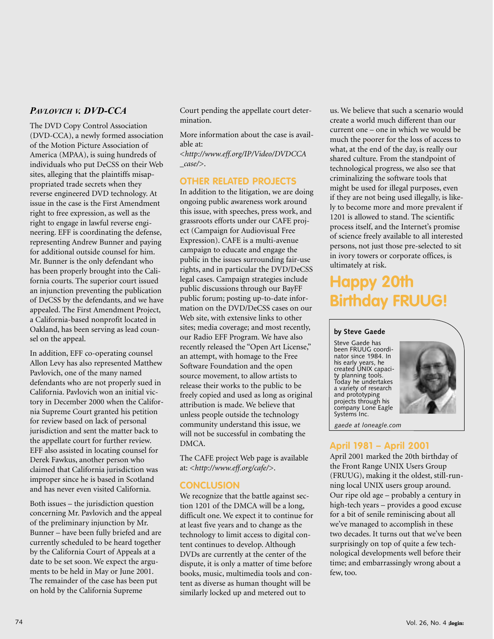#### *PAVLOVICH V. DVD-CCA*

The DVD Copy Control Association (DVD-CCA), a newly formed association of the Motion Picture Association of America (MPAA), is suing hundreds of individuals who put DeCSS on their Web sites, alleging that the plaintiffs misappropriated trade secrets when they reverse engineered DVD technology. At issue in the case is the First Amendment right to free expression, as well as the right to engage in lawful reverse engineering. EFF is coordinating the defense, representing Andrew Bunner and paying for additional outside counsel for him. Mr. Bunner is the only defendant who has been properly brought into the California courts. The superior court issued an injunction preventing the publication of DeCSS by the defendants, and we have appealed. The First Amendment Project, a California-based nonprofit located in Oakland, has been serving as lead counsel on the appeal.

In addition, EFF co-operating counsel Allon Levy has also represented Matthew Pavlovich, one of the many named defendants who are not properly sued in California. Pavlovich won an initial victory in December 2000 when the California Supreme Court granted his petition for review based on lack of personal jurisdiction and sent the matter back to the appellate court for further review. EFF also assisted in locating counsel for Derek Fawkus, another person who claimed that California jurisdiction was improper since he is based in Scotland and has never even visited California.

Both issues – the jurisdiction question concerning Mr. Pavlovich and the appeal of the preliminary injunction by Mr. Bunner – have been fully briefed and are currently scheduled to be heard together by the California Court of Appeals at a date to be set soon. We expect the arguments to be held in May or June 2001. The remainder of the case has been put on hold by the California Supreme

Court pending the appellate court determination.

More information about the case is available at:

<*<http://www.eff.org/IP/Video/DVDCCA> \_case/*>.

#### **OTHER RELATED PROJECTS**

In addition to the litigation, we are doing ongoing public awareness work around this issue, with speeches, press work, and grassroots efforts under our CAFE project (Campaign for Audiovisual Free Expression). CAFE is a multi-avenue campaign to educate and engage the public in the issues surrounding fair-use rights, and in particular the DVD/DeCSS legal cases. Campaign strategies include public discussions through our BayFF public forum; posting up-to-date information on the DVD/DeCSS cases on our Web site, with extensive links to other sites; media coverage; and most recently, our Radio EFF Program. We have also recently released the "Open Art License," an attempt, with homage to the Free Software Foundation and the open source movement, to allow artists to release their works to the public to be freely copied and used as long as original attribution is made. We believe that unless people outside the technology community understand this issue, we will not be successful in combating the DMCA.

The CAFE project Web page is available at: <*<http://www.eff.org/cafe/>*>.

#### **CONCLUSION**

We recognize that the battle against section 1201 of the DMCA will be a long, difficult one. We expect it to continue for at least five years and to change as the technology to limit access to digital content continues to develop. Although DVDs are currently at the center of the dispute, it is only a matter of time before books, music, multimedia tools and content as diverse as human thought will be similarly locked up and metered out to

us. We believe that such a scenario would create a world much different than our current one – one in which we would be much the poorer for the loss of access to what, at the end of the day, is really our shared culture. From the standpoint of technological progress, we also see that criminalizing the software tools that might be used for illegal purposes, even if they are not being used illegally, is likely to become more and more prevalent if 1201 is allowed to stand. The scientific process itself, and the Internet's promise of science freely available to all interested persons, not just those pre-selected to sit in ivory towers or corporate offices, is ultimately at risk.

## **Happy 20th Birthday FRUUG!**

#### **by Steve Gaede**

Steve Gaede has been FRUUG coordinator since 1984. In his early years, he created UNIX capacity planning tools. Today he undertakes a variety of research and prototyping projects through his company Lone Eagle Systems Inc.



*gaede at loneagle.com*

#### **April 1981 – April 2001**

April 2001 marked the 20th birthday of the Front Range UNIX Users Group (FRUUG), making it the oldest, still-running local UNIX users group around. Our ripe old age – probably a century in high-tech years – provides a good excuse for a bit of senile reminiscing about all we've managed to accomplish in these two decades. It turns out that we've been surprisingly on top of quite a few technological developments well before their time; and embarrassingly wrong about a few, too.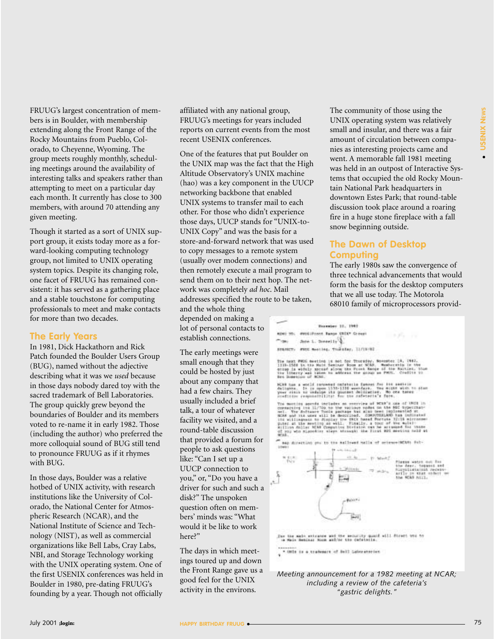FRUUG's largest concentration of members is in Boulder, with membership extending along the Front Range of the Rocky Mountains from Pueblo, Colorado, to Cheyenne, Wyoming. The group meets roughly monthly, scheduling meetings around the availability of interesting talks and speakers rather than attempting to meet on a particular day each month. It currently has close to 300 members, with around 70 attending any given meeting.

Though it started as a sort of UNIX support group, it exists today more as a forward-looking computing technology group, not limited to UNIX operating system topics. Despite its changing role, one facet of FRUUG has remained consistent: it has served as a gathering place and a stable touchstone for computing professionals to meet and make contacts for more than two decades.

#### **The Early Years**

In 1981, Dick Hackathorn and Rick Patch founded the Boulder Users Group (BUG), named without the adjective describing what it was we *used* because in those days nobody dared toy with the sacred trademark of Bell Laboratories. The group quickly grew beyond the boundaries of Boulder and its members voted to re-name it in early 1982. Those (including the author) who preferred the more colloquial sound of BUG still tend to pronounce FRUUG as if it rhymes with BUG.

In those days, Boulder was a relative hotbed of UNIX activity, with research institutions like the University of Colorado, the National Center for Atmospheric Research (NCAR), and the National Institute of Science and Technology (NIST), as well as commercial organizations like Bell Labs, Cray Labs, NBI, and Storage Technology working with the UNIX operating system. One of the first USENIX conferences was held in Boulder in 1980, pre-dating FRUUG's founding by a year. Though not officially

affiliated with any national group, FRUUG's meetings for years included reports on current events from the most recent USENIX conferences.

One of the features that put Boulder on the UNIX map was the fact that the High Altitude Observatory's UNIX machine (hao) was a key component in the UUCP networking backbone that enabled UNIX systems to transfer mail to each other. For those who didn't experience those days, UUCP stands for "UNIX-to-UNIX Copy" and was the basis for a store-and-forward network that was used to copy messages to a remote system (usually over modem connections) and then remotely execute a mail program to send them on to their next hop. The network was completely *ad hoc*. Mail addresses specified the route to be taken, and the whole thing

depended on making a lot of personal contacts to establish connections.

The early meetings were small enough that they could be hosted by just about any company that had a few chairs. They usually included a brief talk, a tour of whatever facility we visited, and a round-table discussion that provided a forum for people to ask questions like: "Can I set up a UUCP connection to you," or, "Do you have a driver for such and such a disk?" The unspoken question often on members' minds was: "What would it be like to work here?"

The days in which meetings toured up and down the Front Range gave us a good feel for the UNIX activity in the environs.

The community of those using the UNIX operating system was relatively small and insular, and there was a fair amount of circulation between companies as interesting projects came and went. A memorable fall 1981 meeting was held in an outpost of Interactive Systems that occupied the old Rocky Mountain National Park headquarters in downtown Estes Park; that round-table discussion took place around a roaring fire in a huge stone fireplace with a fall snow beginning outside.

#### **The Dawn of Desktop Computing**

The early 1980s saw the convergence of three technical advancements that would form the basis for the desktop computers that we all use today. The Motorola 68010 family of microprocessors provid-



#### *Meeting announcement for a 1982 meeting at NCAR; including a review of the cafeteria's "gastric delights."*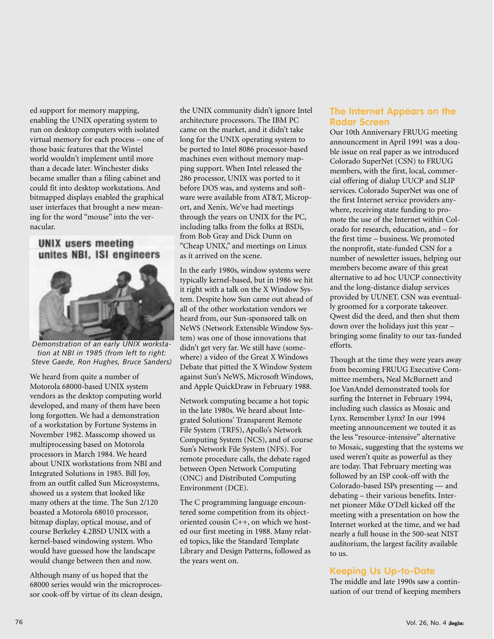ed support for memory mapping, enabling the UNIX operating system to run on desktop computers with isolated virtual memory for each process – one of those basic features that the Wintel world wouldn't implement until more than a decade later. Winchester disks became smaller than a filing cabinet and could fit into desktop workstations. And bitmapped displays enabled the graphical user interfaces that brought a new meaning for the word "mouse" into the vernacular.

#### **UNIX users meeting** unites NBI, ISI engineers



*Demonstration of an early UNIX workstation at NBI in 1985 (from left to right: Steve Gaede, Ron Hughes, Bruce Sanders)*

We heard from quite a number of Motorola 68000-based UNIX system vendors as the desktop computing world developed, and many of them have been long forgotten. We had a demonstration of a workstation by Fortune Systems in November 1982. Masscomp showed us multiprocessing based on Motorola processors in March 1984. We heard about UNIX workstations from NBI and Integrated Solutions in 1985. Bill Joy, from an outfit called Sun Microsystems, showed us a system that looked like many others at the time. The Sun 2/120 boasted a Motorola 68010 processor, bitmap display, optical mouse, and of course Berkeley 4.2BSD UNIX with a kernel-based windowing system. Who would have guessed how the landscape would change between then and now.

Although many of us hoped that the 68000 series would win the microprocessor cook-off by virtue of its clean design, the UNIX community didn't ignore Intel architecture processors. The IBM PC came on the market, and it didn't take long for the UNIX operating system to be ported to Intel 8086 processor-based machines even without memory mapping support. When Intel released the 286 processor, UNIX was ported to it before DOS was, and systems and software were available from AT&T, Microport, and Xenix. We've had meetings through the years on UNIX for the PC, including talks from the folks at BSDi, from Bob Gray and Dick Dunn on "Cheap UNIX," and meetings on Linux as it arrived on the scene.

In the early 1980s, window systems were typically kernel-based, but in 1986 we hit it right with a talk on the X Window System. Despite how Sun came out ahead of all of the other workstation vendors we heard from, our Sun-sponsored talk on NeWS (Network Extensible Window System) was one of those innovations that didn't get very far. We still have (somewhere) a video of the Great X Windows Debate that pitted the X Window System against Sun's NeWS, Microsoft Windows, and Apple QuickDraw in February 1988.

Network computing became a hot topic in the late 1980s. We heard about Integrated Solutions' Transparent Remote File System (TRFS), Apollo's Network Computing System (NCS), and of course Sun's Network File System (NFS). For remote procedure calls, the debate raged between Open Network Computing (ONC) and Distributed Computing Environment (DCE).

The C programming language encountered some competition from its objectoriented cousin C++, on which we hosted our first meeting in 1988. Many related topics, like the Standard Template Library and Design Patterns, followed as the years went on.

#### **The Internet Appears on the Radar Screen**

Our 10th Anniversary FRUUG meeting announcement in April 1991 was a double issue on real paper as we introduced Colorado SuperNet (CSN) to FRUUG members, with the first, local, commercial offering of dialup UUCP and SLIP services. Colorado SuperNet was one of the first Internet service providers anywhere, receiving state funding to promote the use of the Internet within Colorado for research, education, and – for the first time – business. We promoted the nonprofit, state-funded CSN for a number of newsletter issues, helping our members become aware of this great alternative to ad hoc UUCP connectivity and the long-distance dialup services provided by UUNET. CSN was eventually groomed for a corporate takeover. Qwest did the deed, and then shut them down over the holidays just this year – bringing some finality to our tax-funded efforts.

Though at the time they were years away from becoming FRUUG Executive Committee members, Neal McBurnett and Joe VanAndel demonstrated tools for surfing the Internet in February 1994, including such classics as Mosaic and Lynx. Remember Lynx? In our 1994 meeting announcement we touted it as the less "resource-intensive" alternative to Mosaic, suggesting that the systems we used weren't quite as powerful as they are today. That February meeting was followed by an ISP cook-off with the Colorado-based ISPs presenting — and debating – their various benefits. Internet pioneer Mike O'Dell kicked off the meeting with a presentation on how the Internet worked at the time, and we had nearly a full house in the 500-seat NIST auditorium, the largest facility available to us.

#### **Keeping Us Up-to-Date**

The middle and late 1990s saw a continuation of our trend of keeping members